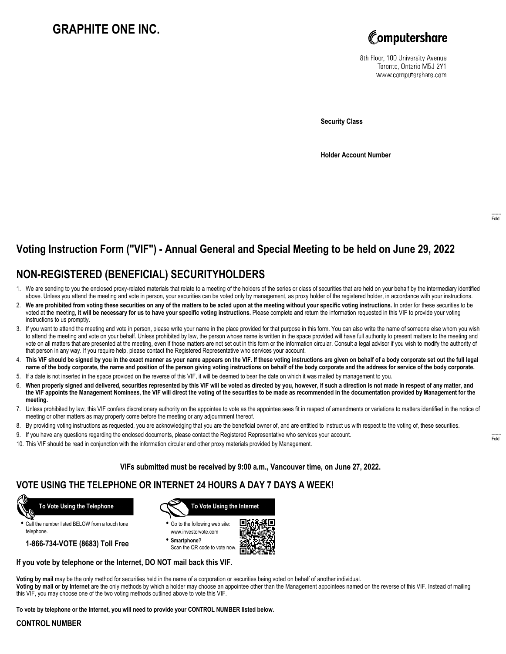# **GRAPHITE ONE INC.**



8th Floor, 100 University Avenue Toronto, Ontario M5J 2Y1 www.computershare.com

**Security Class**

**Holder Account Number**

## **Voting Instruction Form ("VIF") - Annual General and Special Meeting to be held on June 29, 2022**

## **NON-REGISTERED (BENEFICIAL) SECURITYHOLDERS**

- 1. We are sending to you the enclosed proxy-related materials that relate to a meeting of the holders of the series or class of securities that are held on your behalf by the intermediary identified above. Unless you attend the meeting and vote in person, your securities can be voted only by management, as proxy holder of the registered holder, in accordance with your instructions.
- 2. **We are prohibited from voting these securities on any of the matters to be acted upon at the meeting without your specific voting instructions.** In order for these securities to be voted at the meeting, **it will be necessary for us to have your specific voting instructions.** Please complete and return the information requested in this VIF to provide your voting instructions to us promptly.
- 3. If you want to attend the meeting and vote in person, please write your name in the place provided for that purpose in this form. You can also write the name of someone else whom you wish to attend the meeting and vote on your behalf. Unless prohibited by law, the person whose name is written in the space provided will have full authority to present matters to the meeting and vote on all matters that are presented at the meeting, even if those matters are not set out in this form or the information circular. Consult a legal advisor if you wish to modify the authority of that person in any way. If you require help, please contact the Registered Representative who services your account.
- 4. **This VIF should be signed by you in the exact manner as your name appears on the VIF. If these voting instructions are given on behalf of a body corporate set out the full legal name of the body corporate, the name and position of the person giving voting instructions on behalf of the body corporate and the address for service of the body corporate.**
- 5. If a date is not inserted in the space provided on the reverse of this VIF, it will be deemed to bear the date on which it was mailed by management to you.
- 6. **When properly signed and delivered, securities represented by this VIF will be voted as directed by you, however, if such a direction is not made in respect of any matter, and the VIF appoints the Management Nominees, the VIF will direct the voting of the securities to be made as recommended in the documentation provided by Management for the meeting.**
- 7. Unless prohibited by law, this VIF confers discretionary authority on the appointee to vote as the appointee sees fit in respect of amendments or variations to matters identified in the notice of meeting or other matters as may properly come before the meeting or any adjournment thereof.
- 8. By providing voting instructions as requested, you are acknowledging that you are the beneficial owner of, and are entitled to instruct us with respect to the voting of, these securities.
- 9. If you have any questions regarding the enclosed documents, please contact the Registered Representative who services your account.
- 10. This VIF should be read in conjunction with the information circular and other proxy materials provided by Management.

**VIFs submitted must be received by 9:00 a.m., Vancouver time, on June 27, 2022.**

### **VOTE USING THE TELEPHONE OR INTERNET 24 HOURS A DAY 7 DAYS A WEEK!**



**•** Call the number listed BELOW from a touch tone telephone.

**1-866-734-VOTE (8683) Toll Free**



- **•** Go to the following web site: www.investorvote.com
- **• Smartphone?** Scan the QR code to vote now.



### **If you vote by telephone or the Internet, DO NOT mail back this VIF.**

**Voting by mail** may be the only method for securities held in the name of a corporation or securities being voted on behalf of another individual.

**Voting by mail or by Internet** are the only methods by which a holder may choose an appointee other than the Management appointees named on the reverse of this VIF. Instead of mailing this VIF, you may choose one of the two voting methods outlined above to vote this VIF.

**To vote by telephone or the Internet, you will need to provide your CONTROL NUMBER listed below.**

#### **CONTROL NUMBER**